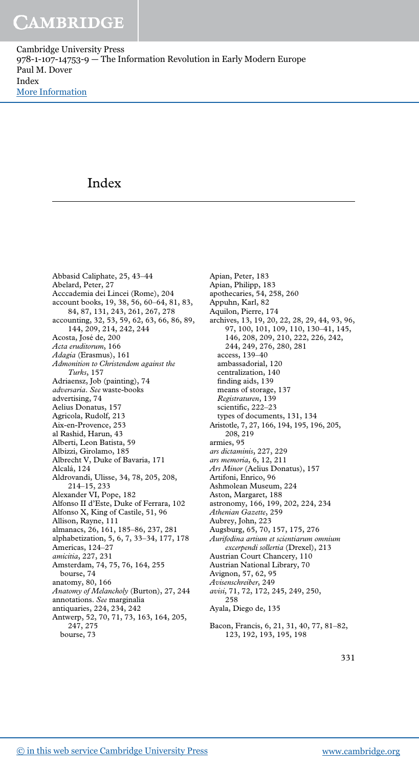Cambridge University Press 978-1-107-14753-9 — The Information Revolution in Early Modern Europe Paul M. Dover Index [More Information](www.cambridge.org/9781107147539)

### Index

Abbasid Caliphate, 25, 43–44 Abelard, Peter, 27 Acccademia dei Lincei (Rome), 204 account books, 19, 38, 56, 60–64, 81, 83, 84, 87, 131, 243, 261, 267, 278 accounting, 32, 53, 59, 62, 63, 66, 86, 89, 144, 209, 214, 242, 244 Acosta, José de, 200 Acta eruditorum, 166 Adagia (Erasmus), 161 Admonition to Christendom against the Turks, 157 Adriaensz, Job (painting), 74 adversaria. See waste-books advertising, 74 Aelius Donatus, 157 Agricola, Rudolf, 213 Aix-en-Provence, 253 al Rashid, Harun, 43 Alberti, Leon Batista, 59 Albizzi, Girolamo, 185 Albrecht V, Duke of Bavaria, 171 Alcalá, 124 Aldrovandi, Ulisse, 34, 78, 205, 208, 214–15, 233 Alexander VI, Pope, 182 Alfonso II d'Este, Duke of Ferrara, 102 Alfonso X, King of Castile, 51, 96 Allison, Rayne, 111 almanacs, 26, 161, 185–86, 237, 281 alphabetization, 5, 6, 7, 33–34, 177, 178 Americas, 124–27 amicitia, 227, 231 Amsterdam, 74, 75, 76, 164, 255 bourse, 74 anatomy, 80, 166 Anatomy of Melancholy (Burton), 27, 244 annotations. See marginalia antiquaries, 224, 234, 242 Antwerp, 52, 70, 71, 73, 163, 164, 205, 247, 275 bourse, 73

Apian, Peter, 183 Apian, Philipp, 183 apothecaries, 54, 258, 260 Appuhn, Karl, 82 Aquilon, Pierre, 174 archives, 13, 19, 20, 22, 28, 29, 44, 93, 96, 97, 100, 101, 109, 110, 130–41, 145, 146, 208, 209, 210, 222, 226, 242, 244, 249, 276, 280, 281 access, 139–40 ambassadorial, 120 centralization, 140 finding aids, 139 means of storage, 137 Registraturen, 139 scientific, 222–23 types of documents, 131, 134 Aristotle, 7, 27, 166, 194, 195, 196, 205, 208, 219 armies, 95 ars dictaminis, 227, 229 ars memoria, 6, 12, 211 Ars Minor (Aelius Donatus), 157 Artifoni, Enrico, 96 Ashmolean Museum, 224 Aston, Margaret, 188 astronomy, 166, 199, 202, 224, 234 Athenian Gazette, 259 Aubrey, John, 223 Augsburg, 65, 70, 157, 175, 276 Aurifodina artium et scientiarum omnium excerpendi sollertia (Drexel), 213 Austrian Court Chancery, 110 Austrian National Library, 70 Avignon, 57, 62, 95 Avisenschreiber, 249 avisi, 71, 72, 172, 245, 249, 250, 258 Ayala, Diego de, 135 Bacon, Francis, 6, 21, 31, 40, 77, 81–82, 123, 192, 193, 195, 198

331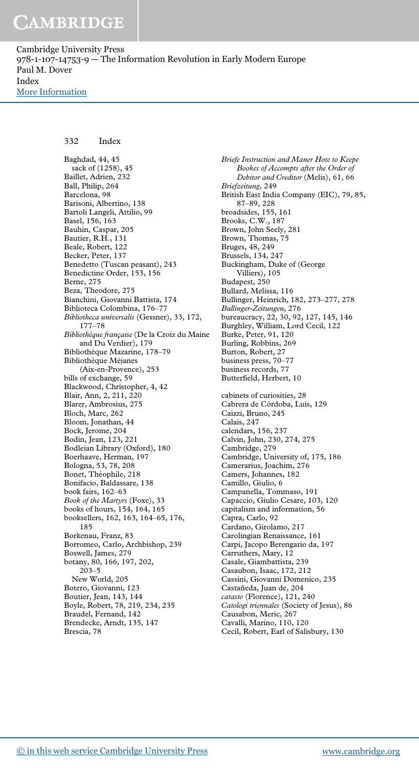Cambridge University Press 978-1-107-14753-9 — The Information Revolution in Early Modern Europe Paul M. Dover Index [More Information](www.cambridge.org/9781107147539)

#### 332 Index

Baghdad, 44, 45 sack of (1258), 45 Baillet, Adrien, 232 Ball, Philip, 264 Barcelona, 98 Barisoni, Albertino, 138 Bartoli Langeli, Attilio, 99 Basel, 156, 163 Bauhin, Caspar, 205 Bautier, R.H., 131 Beale, Robert, 122 Becker, Peter, 137 Benedetto (Tuscan peasant), 243 Benedictine Order, 153, 156 Berne, 275 Beza, Theodore, 275 Bianchini, Giovanni Battista, 174 Biblioteca Colombina, 176–77 Bibliotheca universalis (Gessner), 33, 172, 177–78 Bibliothèque française (De la Croiz du Maine and Du Verdier), 179 Bibliothèque Mazarine, 178–79 Bibliothèque Méjanes (Aix-en-Provence), 253 bills of exchange, 59 Blackwood, Christopher, 4, 42 Blair, Ann, 2, 211, 220 Blarer, Ambrosius, 275 Bloch, Marc, 262 Bloom, Jonathan, 44 Bock, Jerome, 204 Bodin, Jean, 123, 221 Bodleian Library (Oxford), 180 Boerhaave, Herman, 197 Bologna, 53, 78, 208 Bonet, Théophile, 218 Bonifacio, Baldassare, 138 book fairs, 162–63 Book of the Martyrs (Foxe), 33 books of hours, 154, 164, 165 booksellers, 162, 163, 164–65, 176, 185 Borkenau, Franz, 83 Borromeo, Carlo, Archbishop, 239 Boswell, James, 279 botany, 80, 166, 197, 202, 203–5 New World, 205 Botero, Giovanni, 123 Boutier, Jean, 143, 144 Boyle, Robert, 78, 219, 234, 235 Braudel, Fernand, 142 Brendecke, Arndt, 135, 147 Brescia, 78

Briefe Instruction and Maner How to Keepe Bookes of Accompts after the Order of Debitor and Creditor (Melis), 61, 66 Briefzeitung, 249 British East India Company (EIC), 79, 85, 87–89, 228 broadsides, 155, 161 Brooks, C.W., 187 Brown, John Seely, 281 Brown, Thomas, 75 Bruges, 48, 249 Brussels, 134, 247 Buckingham, Duke of (George Villiers), 105 Budapest, 250 Bullard, Melissa, 116 Bullinger, Heinrich, 182, 273–277, 278 Bullinger-Zeitungen, 276 bureaucracy, 22, 30, 92, 127, 145, 146 Burghley, William, Lord Cecil, 122 Burke, Peter, 91, 120 Burling, Robbins, 269 Burton, Robert, 27 business press, 70–77 business records, 77 Butterfield, Herbert, 10 cabinets of curiosities, 28 Cabrera de Córdoba, Luis, 129 Caizzi, Bruno, 245 Calais, 247 calendars, 156, 237 Calvin, John, 230, 274, 275 Cambridge, 279 Cambridge, University of, 175, 186 Camerarius, Joachim, 276 Camers, Johannes, 182 Camillo, Giulio, 6 Campanella, Tommaso, 191 Capaccio, Giulio Cesare, 103, 120 capitalism and information, 56 Capra, Carlo, 92 Cardano, Girolamo, 217 Carolingian Renaissance, 161 Carpi, Jacopo Berengario da, 197 Carruthers, Mary, 12 Casale, Giambattista, 239 Casaubon, Isaac, 172, 212 Cassini, Giovanni Domenico, 235 Castañeda, Juan de, 204 catasto (Florence), 121, 240 Catologi triennales (Society of Jesus), 86 Causabon, Meric, 267 Cavalli, Marino, 110, 120 Cecil, Robert, Earl of Salisbury, 130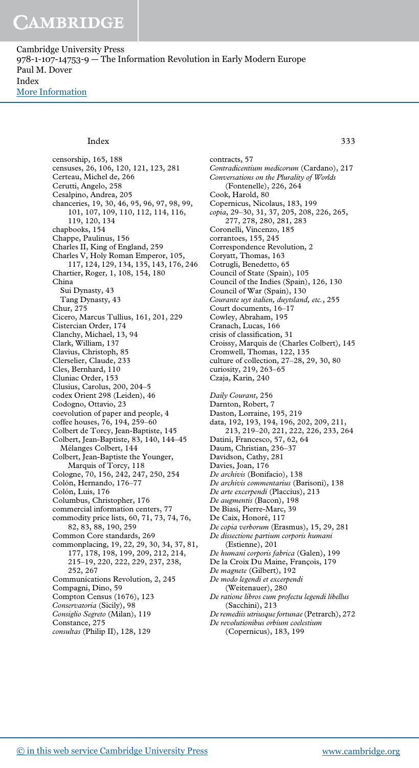Cambridge University Press 978-1-107-14753-9 — The Information Revolution in Early Modern Europe Paul M. Dover Index [More Information](www.cambridge.org/9781107147539)

#### Index 333

censorship, 165, 188 censuses, 26, 106, 120, 121, 123, 281 Certeau, Michel de, 266 Cerutti, Angelo, 258 Cesalpino, Andrea, 205 chanceries, 19, 30, 46, 95, 96, 97, 98, 99, 101, 107, 109, 110, 112, 114, 116, 119, 120, 134 chapbooks, 154 Chappe, Paulinus, 156 Charles II, King of England, 259 Charles V, Holy Roman Emperor, 105, 117, 124, 129, 134, 135, 143, 176, 246 Chartier, Roger, 1, 108, 154, 180 China Sui Dynasty, 43 Tang Dynasty, 43 Chur, 275 Cicero, Marcus Tullius, 161, 201, 229 Cistercian Order, 174 Clanchy, Michael, 13, 94 Clark, William, 137 Clavius, Christoph, 85 Clerselier, Claude, 233 Cles, Bernhard, 110 Cluniac Order, 153 Clusius, Carolus, 200, 204–5 codex Orient 298 (Leiden), 46 Codogno, Ottavio, 23 coevolution of paper and people, 4 coffee houses, 76, 194, 259–60 Colbert de Torcy, Jean-Baptiste, 145 Colbert, Jean-Baptiste, 83, 140, 144–45 Mélanges Colbert, 144 Colbert, Jean-Baptiste the Younger, Marquis of Torcy, 118 Cologne, 70, 156, 242, 247, 250, 254 Colón, Hernando, 176–77 Colón, Luis, 176 Columbus, Christopher, 176 commercial information centers, 77 commodity price lists, 60, 71, 73, 74, 76, 82, 83, 88, 190, 259 Common Core standards, 269 commonplacing, 19, 22, 29, 30, 34, 37, 81, 177, 178, 198, 199, 209, 212, 214, 215–19, 220, 222, 229, 237, 238, 252, 267 Communications Revolution, 2, 245 Compagni, Dino, 59 Compton Census (1676), 123 Conservatoria (Sicily), 98 Consiglio Segreto (Milan), 119 Constance, 275 consultas (Philip II), 128, 129

contracts, 57 Contradicentium medicorum (Cardano), 217 Conversations on the Plurality of Worlds (Fontenelle), 226, 264 Cook, Harold, 80 Copernicus, Nicolaus, 183, 199 copia, 29–30, 31, 37, 205, 208, 226, 265, 277, 278, 280, 281, 283 Coronelli, Vincenzo, 185 corrantoes, 155, 245 Correspondence Revolution, 2 Coryatt, Thomas, 163 Cotrugli, Benedetto, 65 Council of State (Spain), 105 Council of the Indies (Spain), 126, 130 Council of War (Spain), 130 Courante uyt italien, duytsland, etc., 255 Court documents, 16–17 Cowley, Abraham, 195 Cranach, Lucas, 166 crisis of classification, 31 Croissy, Marquis de (Charles Colbert), 145 Cromwell, Thomas, 122, 135 culture of collection, 27–28, 29, 30, 80 curiosity, 219, 263–65 Czaja, Karin, 240 Daily Courant, 256 Darnton, Robert, 7 Daston, Lorraine, 195, 219 data, 192, 193, 194, 196, 202, 209, 211, 213, 219–20, 221, 222, 226, 233, 264 Datini, Francesco, 57, 62, 64 Daum, Christian, 236–37 Davidson, Cathy, 281 Davies, Joan, 176 De archivis (Bonifacio), 138 De archivis commentarius (Barisoni), 138 De arte excerpendi (Placcius), 213 De augmentis (Bacon), 198 De Biasi, Pierre-Marc, 39 De Caix, Honoré, 117 De copia verborum (Erasmus), 15, 29, 281 De dissectione partium corporis humani (Estienne), 201 De humani corporis fabrica (Galen), 199 De la Croix Du Maine, François, 179 De magnete (Gilbert), 192 De modo legendi et excerpendi (Weitenauer), 280 De ratione libros cum profectu legendi libellus (Sacchini), 213 De remediis utriusque fortunae(Petrarch), 272

De revolutionibus orbium coelestium (Copernicus), 183, 199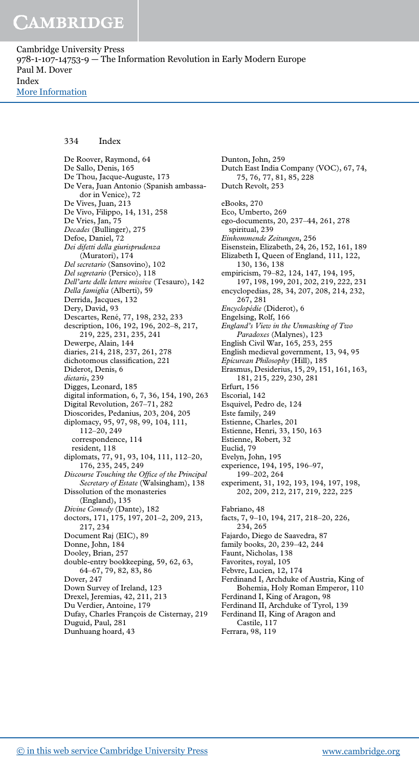Cambridge University Press 978-1-107-14753-9 — The Information Revolution in Early Modern Europe Paul M. Dover Index [More Information](www.cambridge.org/9781107147539)

#### 334 Index

De Roover, Raymond, 64 De Sallo, Denis, 165 De Thou, Jacque-Auguste, 173 De Vera, Juan Antonio (Spanish ambassador in Venice), 72 De Vives, Juan, 213 De Vivo, Filippo, 14, 131, 258 De Vries, Jan, 75 Decades (Bullinger), 275 Defoe, Daniel, 72 Dei difetti della giurisprudenza (Muratori), 174 Del secretario (Sansovino), 102 Del segretario (Persico), 118 Dell'arte delle lettere missive (Tesauro), 142 Della famiglia (Alberti), 59 Derrida, Jacques, 132 Dery, David, 93 Descartes, René, 77, 198, 232, 233 description, 106, 192, 196, 202–8, 217, 219, 225, 231, 235, 241 Dewerpe, Alain, 144 diaries, 214, 218, 237, 261, 278 dichotomous classification, 221 Diderot, Denis, 6 dietaris, 239 Digges, Leonard, 185 digital information, 6, 7, 36, 154, 190, 263 Digital Revolution, 267–71, 282 Dioscorides, Pedanius, 203, 204, 205 diplomacy, 95, 97, 98, 99, 104, 111, 112–20, 249 correspondence, 114 resident, 118 diplomats, 77, 91, 93, 104, 111, 112–20, 176, 235, 245, 249 Discourse Touching the Office of the Principal Secretary of Estate (Walsingham), 138 Dissolution of the monasteries (England), 135 Divine Comedy (Dante), 182 doctors, 171, 175, 197, 201–2, 209, 213, 217, 234 Document Raj (EIC), 89 Donne, John, 184 Dooley, Brian, 257 double-entry bookkeeping, 59, 62, 63, 64–67, 79, 82, 83, 86 Dover, 247 Down Survey of Ireland, 123 Drexel, Jeremias, 42, 211, 213 Du Verdier, Antoine, 179 Dufay, Charles François de Cisternay, 219 Duguid, Paul, 281 Dunhuang hoard, 43

Dunton, John, 259 Dutch East India Company (VOC), 67, 74, 75, 76, 77, 81, 85, 228 Dutch Revolt, 253 eBooks, 270 Eco, Umberto, 269 ego-documents, 20, 237–44, 261, 278 spiritual, 239 Einkommende Zeitungen, 256 Eisenstein, Elizabeth, 24, 26, 152, 161, 189 Elizabeth I, Queen of England, 111, 122, 130, 136, 138 empiricism, 79–82, 124, 147, 194, 195, 197, 198, 199, 201, 202, 219, 222, 231 encyclopedias, 28, 34, 207, 208, 214, 232, 267, 281 Encyclopédie (Diderot), 6 Engelsing, Rolf, 166 England's View in the Unmasking of Two Paradoxes (Malynes), 123 English Civil War, 165, 253, 255 English medieval government, 13, 94, 95 Epicurean Philosophy (Hill), 185 Erasmus, Desiderius, 15, 29, 151, 161, 163, 181, 215, 229, 230, 281 Erfurt, 156 Escorial, 142 Esquivel, Pedro de, 124 Este family, 249 Estienne, Charles, 201 Estienne, Henri, 33, 150, 163 Estienne, Robert, 32 Euclid, 79 Evelyn, John, 195 experience, 194, 195, 196–97, 199–202, 264 experiment, 31, 192, 193, 194, 197, 198, 202, 209, 212, 217, 219, 222, 225 Fabriano, 48 facts, 7, 9–10, 194, 217, 218–20, 226, 234, 265 Fajardo, Diego de Saavedra, 87 family books, 20, 239–42, 244 Faunt, Nicholas, 138 Favorites, royal, 105 Febvre, Lucien, 12, 174 Ferdinand I, Archduke of Austria, King of Bohemia, Holy Roman Emperor, 110 Ferdinand I, King of Aragon, 98 Ferdinand II, Archduke of Tyrol, 139 Ferdinand II, King of Aragon and Castile, 117 Ferrara, 98, 119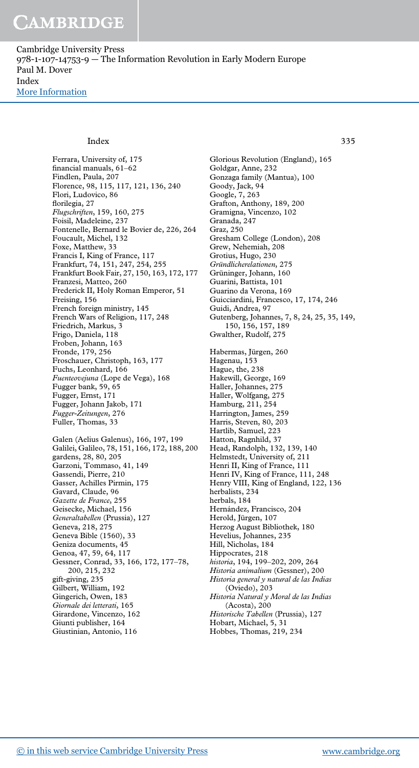Cambridge University Press 978-1-107-14753-9 — The Information Revolution in Early Modern Europe Paul M. Dover Index [More Information](www.cambridge.org/9781107147539)

#### Index 335

Ferrara, University of, 175 financial manuals, 61–62 Findlen, Paula, 207 Florence, 98, 115, 117, 121, 136, 240 Flori, Ludovico, 86 florilegia, 27 Flugschriften, 159, 160, 275 Foisil, Madeleine, 237 Fontenelle, Bernard le Bovier de, 226, 264 Foucault, Michel, 132 Foxe, Matthew, 33 Francis I, King of France, 117 Frankfurt, 74, 151, 247, 254, 255 Frankfurt Book Fair, 27, 150, 163, 172, 177 Franzesi, Matteo, 260 Frederick II, Holy Roman Emperor, 51 Freising, 156 French foreign ministry, 145 French Wars of Religion, 117, 248 Friedrich, Markus, 3 Frigo, Daniela, 118 Froben, Johann, 163 Fronde, 179, 256 Froschauer, Christoph, 163, 177 Fuchs, Leonhard, 166 Fuenteovejuna (Lope de Vega), 168 Fugger bank, 59, 65 Fugger, Ernst, 171 Fugger, Johann Jakob, 171 Fugger-Zeitungen, 276 Fuller, Thomas, 33 Galen (Aelius Galenus), 166, 197, 199 Galilei, Galileo, 78, 151, 166, 172, 188, 200 gardens, 28, 80, 205 Garzoni, Tommaso, 41, 149 Gassendi, Pierre, 210 Gasser, Achilles Pirmin, 175 Gavard, Claude, 96 Gazette de France, 255 Geisecke, Michael, 156 Generaltabellen (Prussia), 127 Geneva, 218, 275 Geneva Bible (1560), 33 Geniza documents, 45 Genoa, 47, 59, 64, 117 Gessner, Conrad, 33, 166, 172, 177–78, 200, 215, 232 gift-giving, 235 Gilbert, William, 192 Gingerich, Owen, 183 Giornale dei letterati, 165 Girardone, Vincenzo, 162

Glorious Revolution (England), 165 Goldgar, Anne, 232 Gonzaga family (Mantua), 100 Goody, Jack, 94 Google, 7, 263 Grafton, Anthony, 189, 200 Gramigna, Vincenzo, 102 Granada, 247 Graz, 250 Gresham College (London), 208 Grew, Nehemiah, 208 Grotius, Hugo, 230 Gründlicherelationen, 275 Grüninger, Johann, 160 Guarini, Battista, 101 Guarino da Verona, 169 Guicciardini, Francesco, 17, 174, 246 Guidi, Andrea, 97 Gutenberg, Johannes, 7, 8, 24, 25, 35, 149, 150, 156, 157, 189 Gwalther, Rudolf, 275 Habermas, Jürgen, 260 Hagenau, 153 Hague, the, 238 Hakewill, George, 169 Haller, Johannes, 275 Haller, Wolfgang, 275 Hamburg, 211, 254 Harrington, James, 259 Harris, Steven, 80, 203 Hartlib, Samuel, 223 Hatton, Ragnhild, 37 Head, Randolph, 132, 139, 140 Helmstedt, University of, 211 Henri II, King of France, 111 Henri IV, King of France, 111, 248 Henry VIII, King of England, 122, 136 herbalists, 234 herbals, 184 Hernández, Francisco, 204 Herold, Jürgen, 107 Herzog August Bibliothek, 180 Hevelius, Johannes, 235 Hill, Nicholas, 184 Hippocrates, 218 historia, 194, 199–202, 209, 264 Historia animalium (Gessner), 200 Historia general y natural de las Indias (Oviedo), 203 Historia Natural y Moral de las Indias (Acosta), 200 Historische Tabellen (Prussia), 127 Hobart, Michael, 5, 31 Hobbes, Thomas, 219, 234

Giunti publisher, 164 Giustinian, Antonio, 116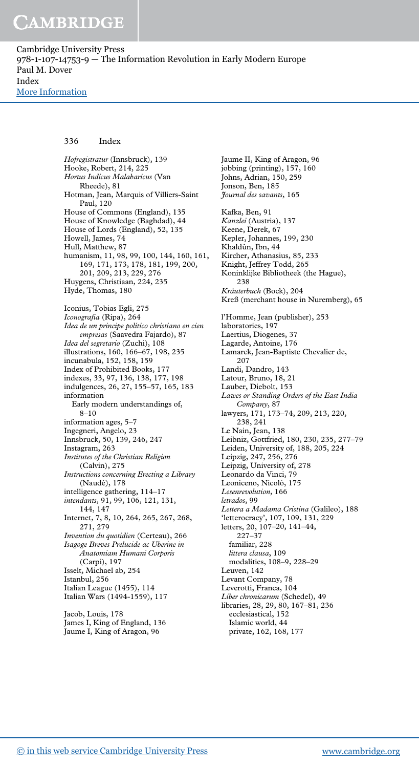Cambridge University Press 978-1-107-14753-9 — The Information Revolution in Early Modern Europe Paul M. Dover Index [More Information](www.cambridge.org/9781107147539)

#### 336 Index

Hofregistratur (Innsbruck), 139 Hooke, Robert, 214, 225 Hortus Indicus Malabaricus (Van Rheede), 81 Hotman, Jean, Marquis of Villiers-Saint Paul, 120 House of Commons (England), 135 House of Knowledge (Baghdad), 44 House of Lords (England), 52, 135 Howell, James, 74 Hull, Matthew, 87 humanism, 11, 98, 99, 100, 144, 160, 161, 169, 171, 173, 178, 181, 199, 200, 201, 209, 213, 229, 276 Huygens, Christiaan, 224, 235 Hyde, Thomas, 180 Iconius, Tobias Egli, 275 Iconografia (Ripa), 264 Idea de un principe político christiano en cien empresas (Saavedra Fajardo), 87 Idea del segretario (Zuchi), 108 illustrations, 160, 166–67, 198, 235 incunabula, 152, 158, 159 Index of Prohibited Books, 177 indexes, 33, 97, 136, 138, 177, 198 indulgences, 26, 27, 155–57, 165, 183 information Early modern understandings of, 8–10 information ages, 5–7 Ingegneri, Angelo, 23 Innsbruck, 50, 139, 246, 247 Instagram, 263 Institutes of the Christian Religion (Calvin), 275 Instructions concerning Erecting a Library (Naudé), 178 intelligence gathering, 114–17 intendants, 91, 99, 106, 121, 131, 144, 147 Internet, 7, 8, 10, 264, 265, 267, 268, 271, 279 Invention du quotidien (Certeau), 266 Isagoge Breves Prelucide ac Uberine in Anatomiam Humani Corporis (Carpi), 197 Isselt, Michael ab, 254 Istanbul, 256 Italian League (1455), 114 Italian Wars (1494-1559), 117 Jacob, Louis, 178 James I, King of England, 136

Kräuterbuch (Bock), 204 Kreß (merchant house in Nuremberg), 65 l'Homme, Jean (publisher), 253 laboratories, 197 Laertius, Diogenes, 37 Lagarde, Antoine, 176 Lamarck, Jean-Baptiste Chevalier de, 207 Landi, Dandro, 143 Latour, Bruno, 18, 21 Lauber, Diebolt, 153 Lawes or Standing Orders of the East India Company, 87 lawyers, 171, 173–74, 209, 213, 220, 238, 241 Le Nain, Jean, 138 Leibniz, Gottfried, 180, 230, 235, 277–79 Leiden, University of, 188, 205, 224 Leipzig, 247, 256, 276 Leipzig, University of, 278 Leonardo da Vinci, 79 Leoniceno, Nicolò, 175 Lesenrevolution, 166 letrados, 99 Lettera a Madama Cristina (Galileo), 188 'letterocracy', 107, 109, 131, 229 letters, 20, 107–20, 141–44, 227–37 familiar, 228 littera clausa, 109 modalities, 108–9, 228–29 Leuven, 142 Levant Company, 78 Leverotti, Franca, 104 Liber chronicarum (Schedel), 49 libraries, 28, 29, 80, 167–81, 236 ecclesiastical, 152 Islamic world, 44 private, 162, 168, 177

Jaume II, King of Aragon, 96 jobbing (printing), 157, 160 Johns, Adrian, 150, 259 Jonson, Ben, 185 Journal des savants, 165

Kircher, Athanasius, 85, 233 Knight, Jeffrey Todd, 265

Koninklijke Bibliotheek (the Hague),

Kafka, Ben, 91 Kanzlei (Austria), 137 Keene, Derek, 67 Kepler, Johannes, 199, 230 Khaldûn, Ibn, 44

238

Jaume I, King of Aragon, 96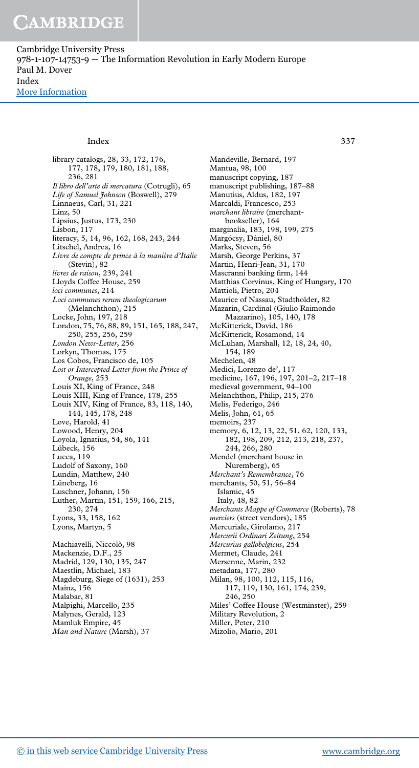Cambridge University Press 978-1-107-14753-9 — The Information Revolution in Early Modern Europe Paul M. Dover Index [More Information](www.cambridge.org/9781107147539)

#### Index 337

library catalogs, 28, 33, 172, 176, 177, 178, 179, 180, 181, 188, 236, 281 Il libro dell'arte di mercatura (Cotrugli), 65 Life of Samuel Johnson (Boswell), 279 Linnaeus, Carl, 31, 221 Linz, 50 Lipsius, Justus, 173, 230 Lisbon, 117 literacy, 5, 14, 96, 162, 168, 243, 244 Litschel, Andrea, 16 Livre de compte de prince à la manière d'Italie (Stevin), 82 livres de raison, 239, 241 Lloyds Coffee House, 259 loci communes, 214 Loci communes rerum theologicarum (Melanchthon), 215 Locke, John, 197, 218 London, 75, 76, 88, 89, 151, 165, 188, 247, 250, 255, 256, 259 London News-Letter, 256 Lorkyn, Thomas, 175 Los Cobos, Francisco de, 105 Lost or Intercepted Letter from the Prince of Orange, 253 Louis XI, King of France, 248 Louis XIII, King of France, 178, 255 Louis XIV, King of France, 83, 118, 140, 144, 145, 178, 248 Love, Harold, 41 Lowood, Henry, 204 Loyola, Ignatius, 54, 86, 141 Lübeck, 156 Lucca, 119 Ludolf of Saxony, 160 Lundin, Matthew, 240 Lüneberg, 16 Luschner, Johann, 156 Luther, Martin, 151, 159, 166, 215, 230, 274 Lyons, 33, 158, 162 Lyons, Martyn, 5 Machiavelli, Niccolò, 98 Mackenzie, D.F., 25 Madrid, 129, 130, 135, 247

Maestlin, Michael, 183 Magdeburg, Siege of (1631), 253 Mainz, 156 Malabar, 81 Malpighi, Marcello, 235 Malynes, Gerald, 123 Mamluk Empire, 45 Man and Nature (Marsh), 37

Mandeville, Bernard, 197 Mantua, 98, 100 manuscript copying, 187 manuscript publishing, 187–88 Manutius, Aldus, 182, 197 Marcaldi, Francesco, 253 marchant libraire (merchantbookseller), 164 marginalia, 183, 198, 199, 275 Margócsy, Dániel, 80 Marks, Steven, 56 Marsh, George Perkins, 37 Martin, Henri-Jean, 31, 170 Mascranni banking firm, 144 Matthias Corvinus, King of Hungary, 170 Mattioli, Pietro, 204 Maurice of Nassau, Stadtholder, 82 Mazarin, Cardinal (Giulio Raimondo Mazzarino), 105, 140, 178 McKitterick, David, 186 McKitterick, Rosamond, 14 McLuhan, Marshall, 12, 18, 24, 40, 154, 189 Mechelen, 48 Medici, Lorenzo de', 117 medicine, 167, 196, 197, 201–2, 217–18 medieval government, 94–100 Melanchthon, Philip, 215, 276 Melis, Federigo, 246 Melis, John, 61, 65 memoirs, 237 memory, 6, 12, 13, 22, 51, 62, 120, 133, 182, 198, 209, 212, 213, 218, 237, 244, 266, 280 Mendel (merchant house in Nuremberg), 65 Merchant's Remembrance, 76 merchants, 50, 51, 56–84 Islamic, 45 Italy, 48, 82 Merchants Mappe of Commerce (Roberts), 78 merciers (street vendors), 185 Mercuriale, Girolamo, 217 Mercurii Ordinari Zeitung, 254 Mercurius gallobelgicus, 254 Mermet, Claude, 241 Mersenne, Marin, 232 metadata, 177, 280 Milan, 98, 100, 112, 115, 116, 117, 119, 130, 161, 174, 239, 246, 250 Miles' Coffee House (Westminster), 259 Military Revolution, 2 Miller, Peter, 210 Mizolio, Mario, 201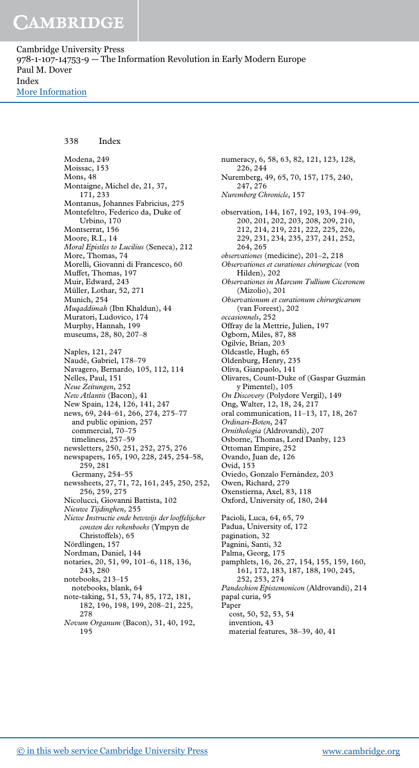Cambridge University Press 978-1-107-14753-9 — The Information Revolution in Early Modern Europe Paul M. Dover Index [More Information](www.cambridge.org/9781107147539)

#### 338 Index

Modena, 249 Moissac, 153 Mons, 48 Montaigne, Michel de, 21, 37, 171, 233 Montanus, Johannes Fabricius, 275 Montefeltro, Federico da, Duke of Urbino, 170 Montserrat, 156 Moore, R.I., 14 Moral Epistles to Lucilius (Seneca), 212 More, Thomas, 74 Morelli, Giovanni di Francesco, 60 Muffet, Thomas, 197 Muir, Edward, 243 Müller, Lothar, 52, 271 Munich, 254 Muqaddimah (Ibn Khaldun), 44 Muratori, Ludovico, 174 Murphy, Hannah, 199 museums, 28, 80, 207–8 Naples, 121, 247 Naudé, Gabriel, 178–79 Navagero, Bernardo, 105, 112, 114 Nelles, Paul, 151 Neue Zeitungen, 252 New Atlantis (Bacon), 41 New Spain, 124, 126, 141, 247 news, 69, 244–61, 266, 274, 275–77 and public opinion, 257 commercial, 70–75 timeliness, 257–59 newsletters, 250, 251, 252, 275, 276 newspapers, 165, 190, 228, 245, 254–58, 259, 281 Germany, 254–55 newssheets, 27, 71, 72, 161, 245, 250, 252, 256, 259, 275 Nicolucci, Giovanni Battista, 102 Nieuwe Tijdinghen, 255 Niewe Instructie ende bewwijs der looffelijcker consten des rekenboeks (Ympyn de Christoffels), 65 Nördlingen, 157 Nordman, Daniel, 144 notaries, 20, 51, 99, 101–6, 118, 136, 243, 280 notebooks, 213–15 notebooks, blank, 64 note-taking, 51, 53, 74, 85, 172, 181, 182, 196, 198, 199, 208–21, 225, 278 Novum Organum (Bacon), 31, 40, 192, 195

numeracy, 6, 58, 63, 82, 121, 123, 128, 226, 244 Nuremberg, 49, 65, 70, 157, 175, 240, 247, 276 Nuremberg Chronicle, 157 observation, 144, 167, 192, 193, 194–99, 200, 201, 202, 203, 208, 209, 210, 212, 214, 219, 221, 222, 225, 226, 229, 231, 234, 235, 237, 241, 252, 264, 265 observationes (medicine), 201–2, 218 Observationes et curationes chirurgicae (von Hilden), 202 Observationes in Marcum Tullium Ciceronem (Mizolio), 201 Observationum et curationum chirurgicarum (van Foreest), 202 occasionnels, 252 Offray de la Mettrie, Julien, 197 Ogborn, Miles, 87, 88 Ogilvie, Brian, 203 Oldcastle, Hugh, 65 Oldenburg, Henry, 235 Oliva, Gianpaolo, 141 Olivares, Count-Duke of (Gaspar Guzmán y Pimentel), 105 On Discovery (Polydore Vergil), 149 Ong, Walter, 12, 18, 24, 217 oral communication, 11–13, 17, 18, 267 Ordinari-Boten, 247 Ornithologia (Aldrovandi), 207 Osborne, Thomas, Lord Danby, 123 Ottoman Empire, 252 Ovando, Juan de, 126 Ovid, 153 Oviedo, Gonzalo Fernández, 203 Owen, Richard, 279 Oxenstierna, Axel, 83, 118 Oxford, University of, 180, 244 Pacioli, Luca, 64, 65, 79 Padua, University of, 172 pagination, 32 Pagnini, Santi, 32 Palma, Georg, 175 pamphlets, 16, 26, 27, 154, 155, 159, 160, 161, 172, 183, 187, 188, 190, 245, 252, 253, 274 Pandechion Epistemonicon (Aldrovandi), 214 papal curia, 95 Paper cost, 50, 52, 53, 54 invention, 43 material features, 38–39, 40, 41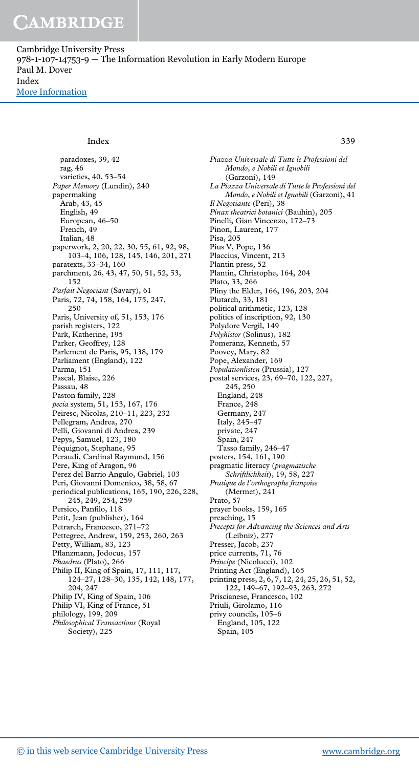Cambridge University Press 978-1-107-14753-9 — The Information Revolution in Early Modern Europe Paul M. Dover Index [More Information](www.cambridge.org/9781107147539)

#### Index 339

paradoxes, 39, 42 rag, 46 varieties, 40, 53–54 Paper Memory (Lundin), 240 papermaking Arab, 43, 45 English, 49 European, 46–50 French, 49 Italian, 48 paperwork, 2, 20, 22, 30, 55, 61, 92, 98, 103–4, 106, 128, 145, 146, 201, 271 paratexts, 33–34, 160 parchment, 26, 43, 47, 50, 51, 52, 53, 152 Parfait Negociant (Savary), 61 Paris, 72, 74, 158, 164, 175, 247, 250 Paris, University of, 51, 153, 176 parish registers, 122 Park, Katherine, 195 Parker, Geoffrey, 128 Parlement de Paris, 95, 138, 179 Parliament (England), 122 Parma, 151 Pascal, Blaise, 226 Passau, 48 Paston family, 228 pecia system, 51, 153, 167, 176 Peiresc, Nicolas, 210–11, 223, 232 Pellegram, Andrea, 270 Pelli, Giovanni di Andrea, 239 Pepys, Samuel, 123, 180 Péquignot, Stephane, 95 Peraudi, Cardinal Raymund, 156 Pere, King of Aragon, 96 Perez del Barrio Angulo, Gabriel, 103 Peri, Giovanni Domenico, 38, 58, 67 periodical publications, 165, 190, 226, 228, 245, 249, 254, 259 Persico, Panfilo, 118 Petit, Jean (publisher), 164 Petrarch, Francesco, 271–72 Pettegree, Andrew, 159, 253, 260, 263 Petty, William, 83, 123 Pflanzmann, Jodocus, 157 Phaedrus (Plato), 266 Philip II, King of Spain, 17, 111, 117, 124–27, 128–30, 135, 142, 148, 177, 204, 247 Philip IV, King of Spain, 106 Philip VI, King of France, 51 philology, 199, 209 Philosophical Transactions (Royal Society), 225

Piazza Universale di Tutte le Professioni del Mondo, e Nobili et Ignobili (Garzoni), 149 La Piazza Universale di Tutte le Professioni del Mondo, e Nobili et Ignobili (Garzoni), 41 Il Negotiante (Peri), 38 Pinax theatrici botanici (Bauhin), 205 Pinelli, Gian Vincenzo, 172–73 Pinon, Laurent, 177 Pisa, 205 Pius V, Pope, 136 Placcius, Vincent, 213 Plantin press, 52 Plantin, Christophe, 164, 204 Plato, 33, 266 Pliny the Elder, 166, 196, 203, 204 Plutarch, 33, 181 political arithmetic, 123, 128 politics of inscription, 92, 130 Polydore Vergil, 149 Polyhistor (Solinus), 182 Pomeranz, Kenneth, 57 Poovey, Mary, 82 Pope, Alexander, 169 Populationlisten (Prussia), 127 postal services, 23, 69–70, 122, 227, 245, 250 England, 248 France, 248 Germany, 247 Italy, 245–47 private, 247 Spain, 247 Tasso family, 246–47 posters, 154, 161, 190 pragmatic literacy (pragmatische Schriftlichkeit), 19, 58, 227 Pratique de l'orthographe françoise (Mermet), 241 Prato, 57 prayer books, 159, 165 preaching, 15 Precepts for Advancing the Sciences and Arts (Leibniz), 277 Presser, Jacob, 237 price currents, 71, 76 Principe (Nicolucci), 102 Printing Act (England), 165 printing press, 2, 6, 7, 12, 24, 25, 26, 51, 52, 122, 149–67, 192–93, 263, 272 Priscianese, Francesco, 102 Priuli, Girolamo, 116 privy councils, 105–6 England, 105, 122 Spain, 105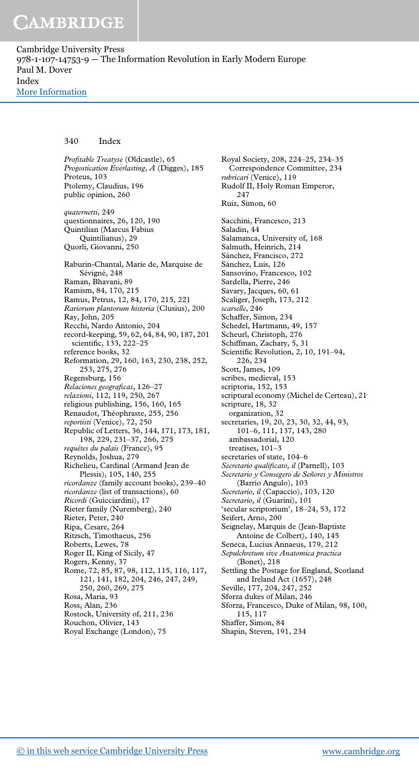Cambridge University Press 978-1-107-14753-9 — The Information Revolution in Early Modern Europe Paul M. Dover Index [More Information](www.cambridge.org/9781107147539)

#### 340 Index

Profitable Treatyse (Oldcastle), 65 Progostication Everlasting, A (Digges), 185 Proteus, 103 Ptolemy, Claudius, 196 public opinion, 260 quaternetti, 249 questionnaires, 26, 120, 190 Quintilian (Marcus Fabius Quintilianus), 29 Quorli, Giovanni, 250 Raburin-Chantal, Marie de, Marquise de Sévigné, 248 Raman, Bhavani, 89 Ramism, 84, 170, 215 Ramus, Petrus, 12, 84, 170, 215, 221 Rariorum plantorum historia (Clusius), 200 Ray, John, 205 Recchi, Nardo Antonio, 204 record-keeping, 59, 62, 64, 84, 90, 187, 201 scientific, 133, 222–25 reference books, 32 Reformation, 29, 160, 163, 230, 238, 252, 253, 275, 276 Regensburg, 156 Relaciones geograficas, 126–27 relazioni, 112, 119, 250, 267 religious publishing, 156, 160, 165 Renaudot, Théophraste, 255, 256 reportisti (Venice), 72, 250 Republic of Letters, 36, 144, 171, 173, 181, 198, 229, 231–37, 266, 275 requêtes du palais (France), 95 Reynolds, Joshua, 279 Richelieu, Cardinal (Armand Jean de Plessis), 105, 140, 255 ricordanze (family account books), 239–40 ricordanze (list of transactions), 60 Ricordi (Guicciardini), 17 Rieter family (Nuremberg), 240 Rieter, Peter, 240 Ripa, Cesare, 264 Ritzsch, Timothaeus, 256 Roberts, Lewes, 78 Roger II, King of Sicily, 47 Rogers, Kenny, 37 Rome, 72, 85, 87, 98, 112, 115, 116, 117, 121, 141, 182, 204, 246, 247, 249, 250, 260, 269, 275 Rosa, Maria, 93 Ross, Alan, 236 Rostock, University of, 211, 236 Rouchon, Olivier, 143 Royal Exchange (London), 75

Royal Society, 208, 224–25, 234–35 Correspondence Committee, 234 rubricari (Venice), 119 Rudolf II, Holy Roman Emperor, 247 Ruiz, Simon, 60 Sacchini, Francesco, 213 Saladin, 44 Salamanca, University of, 168 Salmuth, Heinrich, 214 Sánchez, Francisco, 272 Sánchez, Luis, 126 Sansovino, Francesco, 102 Sardella, Pierre, 246 Savary, Jacques, 60, 61 Scaliger, Joseph, 173, 212 scarselle, 246 Schaffer, Simon, 234 Schedel, Hartmann, 49, 157 Scheurl, Christoph, 276 Schiffman, Zachary, 5, 31 Scientific Revolution, 2, 10, 191–94, 226, 234 Scott, James, 109 scribes, medieval, 153 scriptoria, 152, 153 scriptural economy (Michel de Certeau), 21 scripture, 18, 32 organization, 32 secretaries, 19, 20, 23, 30, 32, 44, 93, 101–6, 111, 137, 143, 280 ambassadorial, 120 treatises, 101–3 secretaries of state, 104–6 Secretario qualificato, il (Parnell), 103 Secretario y Consegero de Señores y Ministros (Barrio Angulo), 103 Secretario, il (Capaccio), 103, 120 Secretario, il (Guarini), 101 'secular scriptorium', 18–24, 53, 172 Seifert, Arno, 200 Seignelay, Marquis de (Jean-Baptiste Antoine de Colbert), 140, 145 Seneca, Lucius Annaeus, 179, 212 Sepulchretum sive Anatomica practica (Bonet), 218 Settling the Postage for England, Scotland and Ireland Act (1657), 248 Seville, 177, 204, 247, 252 Sforza dukes of Milan, 246 Sforza, Francesco, Duke of Milan, 98, 100, 115, 117 Shaffer, Simon, 84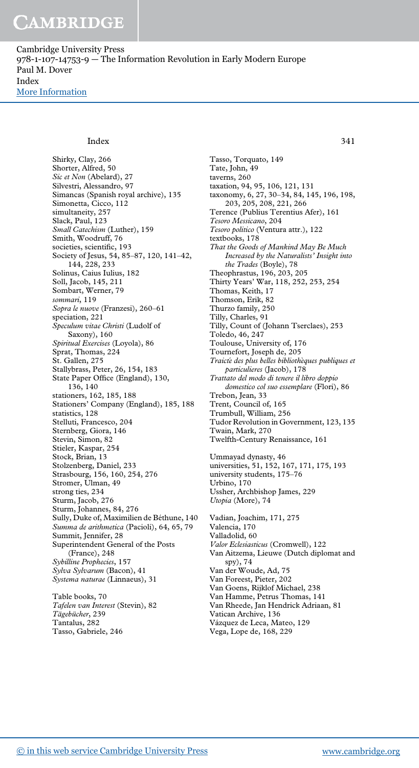Cambridge University Press 978-1-107-14753-9 — The Information Revolution in Early Modern Europe Paul M. Dover Index [More Information](www.cambridge.org/9781107147539)

#### Index 341

Shirky, Clay, 266 Shorter, Alfred, 50 Sic et Non (Abelard), 27 Silvestri, Alessandro, 97 Simancas (Spanish royal archive), 135 Simonetta, Cicco, 112 simultaneity, 257 Slack, Paul, 123 Small Catechism (Luther), 159 Smith, Woodruff, 76 societies, scientific, 193 Society of Jesus, 54, 85–87, 120, 141–42, 144, 228, 233 Solinus, Caius Iulius, 182 Soll, Jacob, 145, 211 Sombart, Werner, 79 sommari, 119 Sopra le nuove (Franzesi), 260–61 speciation, 221 Speculum vitae Christi (Ludolf of Saxony), 160 Spiritual Exercises (Loyola), 86 Sprat, Thomas, 224 St. Gallen, 275 Stallybrass, Peter, 26, 154, 183 State Paper Office (England), 130, 136, 140 stationers, 162, 185, 188 Stationers' Company (England), 185, 188 statistics, 128 Stelluti, Francesco, 204 Sternberg, Giora, 146 Stevin, Simon, 82 Stieler, Kaspar, 254 Stock, Brian, 13 Stolzenberg, Daniel, 233 Strasbourg, 156, 160, 254, 276 Stromer, Ulman, 49 strong ties, 234 Sturm, Jacob, 276 Sturm, Johannes, 84, 276 Sully, Duke of, Maximilien de Béthune, 140 Summa de arithmetica (Pacioli), 64, 65, 79 Summit, Jennifer, 28 Superintendent General of the Posts (France), 248 Sybilline Prophecies, 157 Sylva Sylvarum (Bacon), 41 Systema naturae (Linnaeus), 31

Table books, 70 Tafelen van Interest (Stevin), 82 Tägebücher, 239 Tantalus, 282 Tasso, Gabriele, 246

Tasso, Torquato, 149 Tate, John, 49 taverns, 260 taxation, 94, 95, 106, 121, 131 taxonomy, 6, 27, 30–34, 84, 145, 196, 198, 203, 205, 208, 221, 266 Terence (Publius Terentius Afer), 161 Tesoro Messicano, 204 Tesoro politico (Ventura attr.), 122 textbooks, 178 That the Goods of Mankind May Be Much Increased by the Naturalists' Insight into the Trades (Boyle), 78 Theophrastus, 196, 203, 205 Thirty Years' War, 118, 252, 253, 254 Thomas, Keith, 17 Thomson, Erik, 82 Thurzo family, 250 Tilly, Charles, 91 Tilly, Count of (Johann Tserclaes), 253 Toledo, 46, 247 Toulouse, University of, 176 Tournefort, Joseph de, 205 Traicté des plus belles bibliothèques publiques et particulieres (Jacob), 178 Trattato del modo di tenere il libro doppio domestico col suo essemplare (Flori), 86 Trebon, Jean, 33 Trent, Council of, 165 Trumbull, William, 256 Tudor Revolution in Government, 123, 135 Twain, Mark, 270 Twelfth-Century Renaissance, 161 Ummayad dynasty, 46 universities, 51, 152, 167, 171, 175, 193 university students, 175–76 Urbino, 170 Ussher, Archbishop James, 229 Utopia (More), 74 Vadian, Joachim, 171, 275 Valencia, 170 Valladolid, 60 Valor Eclesiasticus (Cromwell), 122 Van Aitzema, Lieuwe (Dutch diplomat and spy), 74 Van der Woude, Ad, 75 Van Foreest, Pieter, 202 Van Goens, Rijklof Michael, 238 Van Hamme, Petrus Thomas, 141 Van Rheede, Jan Hendrick Adriaan, 81 Vatican Archive, 136 Vázquez de Leca, Mateo, 129 Vega, Lope de, 168, 229